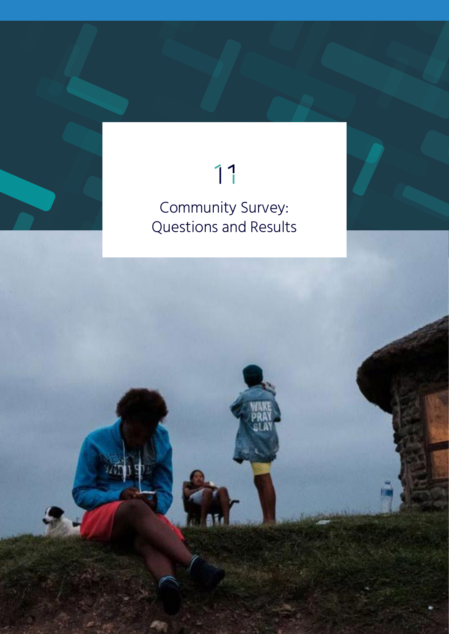# 11

# Community Survey: Questions and Results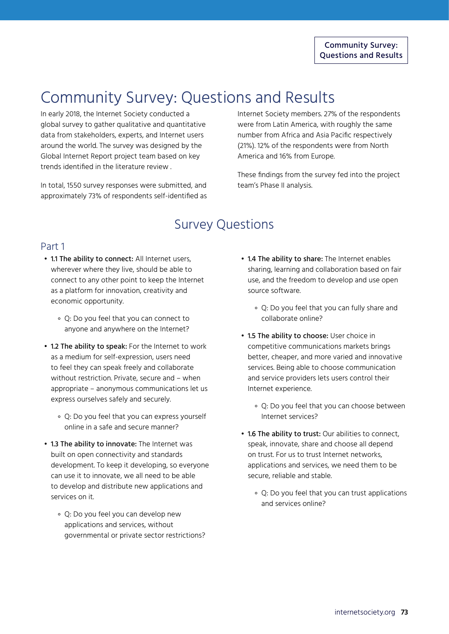# Community Survey: Questions and Results

In early 2018, the Internet Society conducted a global survey to gather qualitative and quantitative data from stakeholders, experts, and Internet users around the world. The survey was designed by the Global Internet Report project team based on key trends identified in the literature review .

In total, 1550 survey responses were submitted, and approximately 73% of respondents self-identified as Internet Society members. 27% of the respondents were from Latin America, with roughly the same number from Africa and Asia Pacific respectively (21%). 12% of the respondents were from North America and 16% from Europe.

These findings from the survey fed into the project team's Phase II analysis.

## Survey Questions

#### Part 1

- 1.1 The ability to connect: All Internet users, wherever where they live, should be able to connect to any other point to keep the Internet as a platform for innovation, creativity and economic opportunity.
	- ॰ Q: Do you feel that you can connect to anyone and anywhere on the Internet?
- 1.2 The ability to speak: For the Internet to work as a medium for self-expression, users need to feel they can speak freely and collaborate without restriction. Private, secure and – when appropriate – anonymous communications let us express ourselves safely and securely.
	- ॰ Q: Do you feel that you can express yourself online in a safe and secure manner?
- 1.3 The ability to innovate: The Internet was built on open connectivity and standards development. To keep it developing, so everyone can use it to innovate, we all need to be able to develop and distribute new applications and services on it.
	- ॰ Q: Do you feel you can develop new applications and services, without governmental or private sector restrictions?
- 1.4 The ability to share: The Internet enables sharing, learning and collaboration based on fair use, and the freedom to develop and use open source software.
	- ॰ Q: Do you feel that you can fully share and collaborate online?
- 1.5 The ability to choose: User choice in competitive communications markets brings better, cheaper, and more varied and innovative services. Being able to choose communication and service providers lets users control their Internet experience.
	- ॰ Q: Do you feel that you can choose between Internet services?
- 1.6 The ability to trust: Our abilities to connect, speak, innovate, share and choose all depend on trust. For us to trust Internet networks, applications and services, we need them to be secure, reliable and stable.
	- ॰ Q: Do you feel that you can trust applications and services online?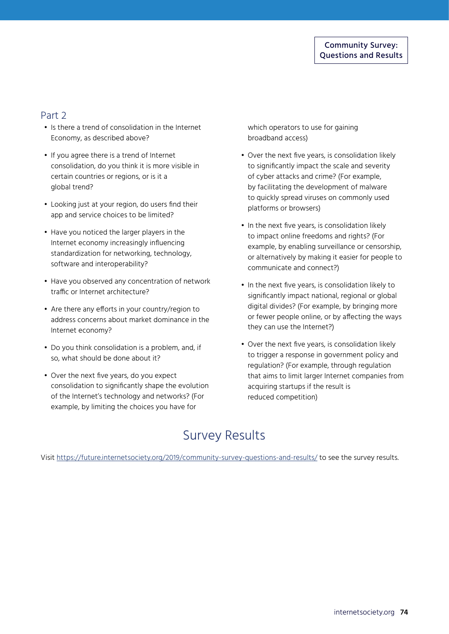#### Part 2

- Is there a trend of consolidation in the Internet Economy, as described above?
- If you agree there is a trend of Internet consolidation, do you think it is more visible in certain countries or regions, or is it a global trend?
- Looking just at your region, do users find their app and service choices to be limited?
- Have you noticed the larger players in the Internet economy increasingly influencing standardization for networking, technology, software and interoperability?
- Have you observed any concentration of network traffic or Internet architecture?
- Are there any efforts in your country/region to address concerns about market dominance in the Internet economy?
- Do you think consolidation is a problem, and, if so, what should be done about it?
- Over the next five years, do you expect consolidation to significantly shape the evolution of the Internet's technology and networks? (For example, by limiting the choices you have for

which operators to use for gaining broadband access)

- Over the next five years, is consolidation likely to significantly impact the scale and severity of cyber attacks and crime? (For example, by facilitating the development of malware to quickly spread viruses on commonly used platforms or browsers)
- In the next five years, is consolidation likely to impact online freedoms and rights? (For example, by enabling surveillance or censorship, or alternatively by making it easier for people to communicate and connect?)
- In the next five years, is consolidation likely to significantly impact national, regional or global digital divides? (For example, by bringing more or fewer people online, or by affecting the ways they can use the Internet?)
- Over the next five years, is consolidation likely to trigger a response in government policy and regulation? (For example, through regulation that aims to limit larger Internet companies from acquiring startups if the result is reduced competition)

## Survey Results

Visit <https://future.internetsociety.org/2019/community-survey-questions-and-results/> to see the survey results.